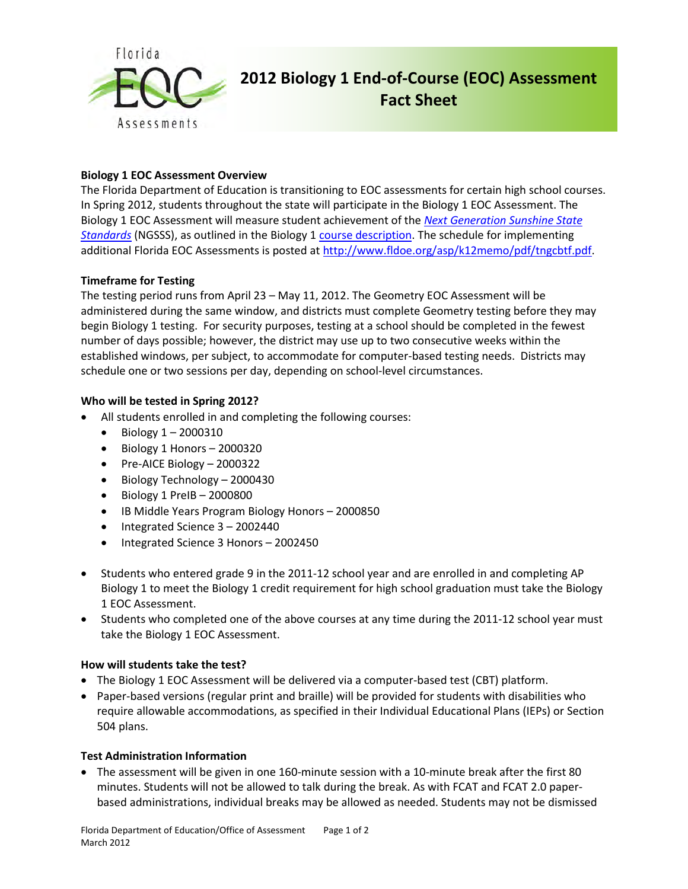

# **2012 Biology 1 End-of-Course (EOC) Assessment Fact Sheet**

### **Biology 1 EOC Assessment Overview**

The Florida Department of Education is transitioning to EOC assessments for certain high school courses. In Spring 2012, students throughout the state will participate in the Biology 1 EOC Assessment. The Biology 1 EOC Assessment will measure student achievement of the *[Next Generation Sunshine State](http://www.floridastandards.org/index.aspx)  [Standards](http://www.floridastandards.org/index.aspx)* (NGSSS), as outlined in the Biology 1 [course description.](http://www.floridastandards.org/Courses/PublicPreviewCourse69.aspx) The schedule for implementing additional Florida EOC Assessments is posted at [http://www.fldoe.org/asp/k12memo/pdf/tngcbtf.pdf.](http://www.fldoe.org/asp/k12memo/pdf/tngcbtf.pdf)

#### **Timeframe for Testing**

The testing period runs from April 23 – May 11, 2012. The Geometry EOC Assessment will be administered during the same window, and districts must complete Geometry testing before they may begin Biology 1 testing. For security purposes, testing at a school should be completed in the fewest number of days possible; however, the district may use up to two consecutive weeks within the established windows, per subject, to accommodate for computer-based testing needs. Districts may schedule one or two sessions per day, depending on school-level circumstances.

#### **Who will be tested in Spring 2012?**

- All students enrolled in and completing the following courses:
	- Biology  $1 2000310$
	- Biology 1 Honors 2000320
	- Pre-AICE Biology 2000322
	- Biology Technology 2000430
	- Biology 1 PreIB 2000800
	- IB Middle Years Program Biology Honors 2000850
	- Integrated Science 3 2002440
	- Integrated Science 3 Honors 2002450
- Students who entered grade 9 in the 2011-12 school year and are enrolled in and completing AP Biology 1 to meet the Biology 1 credit requirement for high school graduation must take the Biology 1 EOC Assessment.
- Students who completed one of the above courses at any time during the 2011-12 school year must take the Biology 1 EOC Assessment.

#### **How will students take the test?**

- The Biology 1 EOC Assessment will be delivered via a computer-based test (CBT) platform.
- Paper-based versions (regular print and braille) will be provided for students with disabilities who require allowable accommodations, as specified in their Individual Educational Plans (IEPs) or Section 504 plans.

#### **Test Administration Information**

• The assessment will be given in one 160-minute session with a 10-minute break after the first 80 minutes. Students will not be allowed to talk during the break. As with FCAT and FCAT 2.0 paperbased administrations, individual breaks may be allowed as needed. Students may not be dismissed